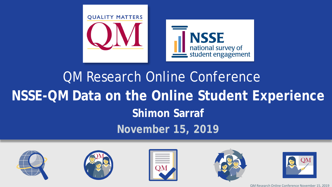

# QM Research Online Conference **NSSE-QM Data on the Online Student Experience Shimon Sarraf November 15, 2019**











QM Research Online Conference November 15, 2019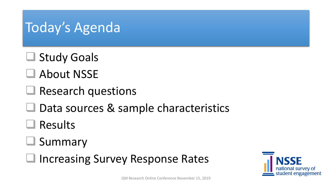## Today's Agenda

- **□ Study Goals**
- About NSSE
- Research questions
- $\Box$  Data sources & sample characteristics
- Results
- **□ Summary**
- Increasing Survey Response Rates

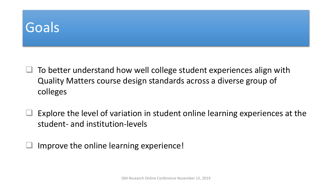### **Goals**

- To better understand how well college student experiences align with Quality Matters course design standards across a diverse group of colleges
- Explore the level of variation in student online learning experiences at the student- and institution-levels
- Improve the online learning experience!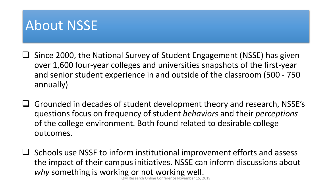### About NSSE

- $\square$  Since 2000, the National Survey of Student Engagement (NSSE) has given over 1,600 four-year colleges and universities snapshots of the first-year and senior student experience in and outside of the classroom (500 - 750 annually)
- $\Box$  Grounded in decades of student development theory and research, NSSE's questions focus on frequency of student *behaviors* and their *perceptions* of the college environment. Both found related to desirable college outcomes.
- $\Box$  Schools use NSSE to inform institutional improvement efforts and assess the impact of their campus initiatives. NSSE can inform discussions about *why* something is working or not working well.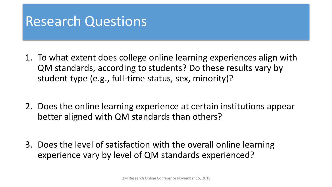### Research Questions

- 1. To what extent does college online learning experiences align with QM standards, according to students? Do these results vary by student type (e.g., full-time status, sex, minority)?
- 2. Does the online learning experience at certain institutions appear better aligned with QM standards than others?
- 3. Does the level of satisfaction with the overall online learning experience vary by level of QM standards experienced?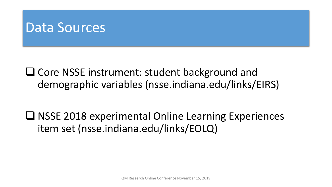### Data Sources

**□ Core NSSE instrument: student background and** demographic variables (nsse.indiana.edu/links/EIRS)

 $\Box$  NSSE 2018 experimental Online Learning Experiences item set (nsse.indiana.edu/links/EOLQ)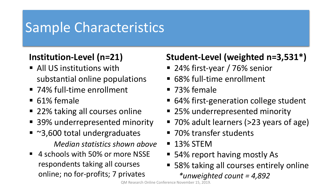### Sample Characteristics

### **Institution-Level (n=21)**

- **All US institutions with** substantial online populations
- 74% full-time enrollment
- 61% female
- 22% taking all courses online
- 39% underrepresented minority
- ~3,600 total undergraduates *Median statistics shown above*
- 4 schools with 50% or more NSSE respondents taking all courses online; no for-profits; 7 privates

### **Student-Level (weighted n=3,531\*)**

- 24% first-year / 76% senior
- 68% full-time enrollment
- 73% female
- 64% first-generation college student
- 25% underrepresented minority
- 70% adult learners (>23 years of age)
- 70% transfer students
- **13% STEM**
- 54% report having mostly As
- 58% taking all courses entirely online *\*unweighted count = 4,892*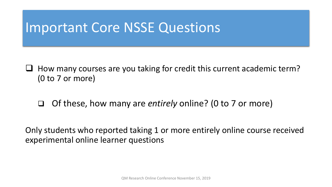### Important Core NSSE Questions

- $\Box$  How many courses are you taking for credit this current academic term? (0 to 7 or more)
	- Of these, how many are *entirely* online? (0 to 7 or more)

Only students who reported taking 1 or more entirely online course received experimental online learner questions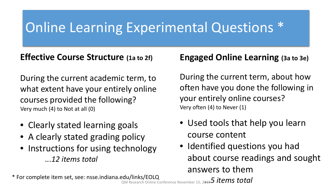# Online Learning Experimental Questions \*

#### **Effective Course Structure (1a to 2f)**

During the current academic term, to what extent have your entirely online courses provided the following? Very much (4) to Not at all (0)

- Clearly stated learning goals
- A clearly stated grading policy
- Instructions for using technology *...12 items total*

#### **Engaged Online Learning (3a to 3e)**

During the current term, about how often have you done the following in your entirely online courses? Very often (4) to Never (1)

- Used tools that help you learn course content
- Identified questions you had about course readings and sought answers to them

*…5 items total* QM Research Online Conference November 15, 2019\* For complete item set, see: nsse.indiana.edu/links/EOLQ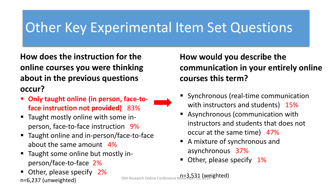### Other Key Experimental Item Set Questions

**How does the instruction for the online courses you were thinking about in the previous questions occur?**

- **Only taught online (in person, face-toface instruction not provided)** 83%
- Taught mostly online with some inperson, face-to-face instruction 9%
- Taught online and in-person/face-to-face about the same amount 4%
- Taught some online but mostly inperson/face-to-face 2%
- Other, please specify 2%  $n=6,237$  (unweighted) and the search Online Conference November 15, 2019

**How would you describe the communication in your entirely online courses this term?** 

- **Synchronous (real-time communication** with instructors and students) 15%
- Asynchronous (communication with instructors and students that does not occur at the same time) 47%
- A mixture of synchronous and asynchronous 37%
- Other, please specify 1%

n=3,531 (weighted)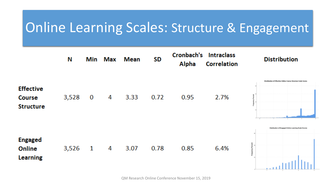### Online Learning Scales: Structure & Engagement

|                                                       | Ν     | Min | Max | <b>Mean</b> | SD   | Cronbach's<br><b>Alpha</b> | <b>Intraclass</b><br><b>Correlation</b> | <b>Distribution</b>                                          |
|-------------------------------------------------------|-------|-----|-----|-------------|------|----------------------------|-----------------------------------------|--------------------------------------------------------------|
| <b>Effective</b><br><b>Course</b><br><b>Structure</b> | 3,528 | 0   | 4   | 3.33        | 0.72 | 0.95                       | 2.7%                                    | Olyathedian of (Morityn Ordina Course Stracture Scale Scores |
| <b>Engaged</b><br>Online<br><b>Learning</b>           | 3,526 | 1   | 4   | 3.07        | 0.78 | 0.85                       | 6.4%                                    | Distribution of Engaged Online Learning Scale Scores         |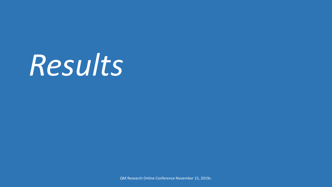# *Results*

QM Research Online Conference November 15, 2019c.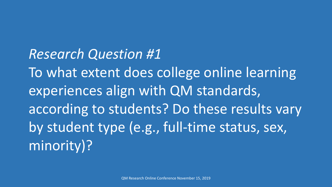*Research Question #1* To what extent does college online learning experiences align with QM standards, according to students? Do these results vary by student type (e.g., full-time status, sex, minority)?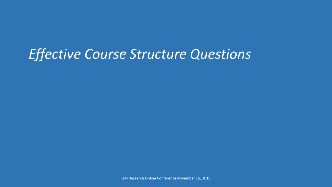## *Effective Course Structure Questions*

QM Research Online Conference November 15, 2019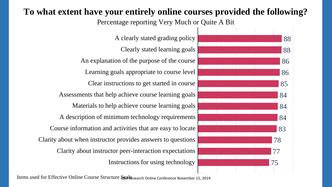### **To what extent have your entirely online courses provided the following?**

Percentage reporting Very Much or Quite A Bit

Instructions for using technology Clarity about instructor peer-interaction expectations Clarity about when instructor provides answers to questions Course information and activities that are easy to locate A description of minimum technology requirements Materials to help achieve course learning goals Assessments that help achieve course learning goals Clear instructions to get started in course Learning goals appropriate to course level An explanation of the purpose of the course Clearly stated learning goals A clearly stated grading policy



Items used for Effective Online Course Structure Sankesearch Online Conference November 15, 2019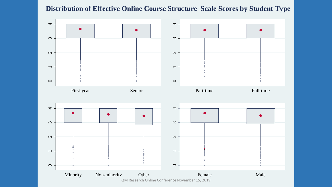#### **Distribution of Effective Online Course Structure Scale Scores by Student Type**

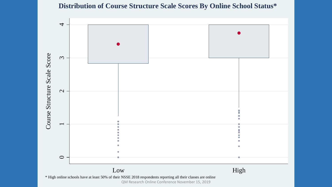#### **Distribution of Course Structure Scale Scores By Online School Status\***

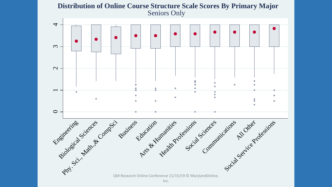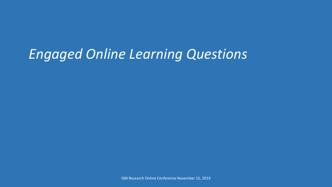# *Engaged Online Learning Questions*

QM Research Online Conference November 15, 2019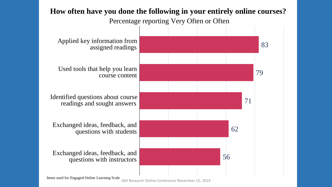

Items used for Engaged Online Learning Scale

QM Research Online Conference November 15, 2019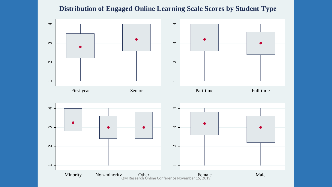#### **Distribution of Engaged Online Learning Scale Scores by Student Type**

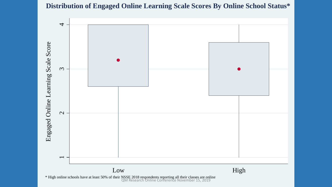#### **Distribution of Engaged Online Learning Scale Scores By Online School Status\***

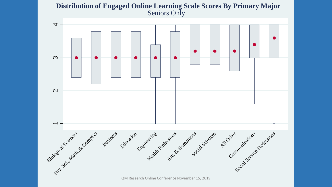# $\omega$  $\overline{4}$ **Distribution of Engaged Online Learning Scale Scores By Primary Major** Seniors Only



 $\overline{\phantom{0}}$ 

 $\mathbf{C}$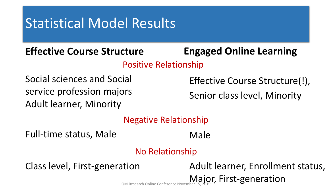## Statistical Model Results

### **Effective Course Structure**

### **Engaged Online Learning**

Positive Relationship

Social sciences and Social service profession majors Adult learner, Minority

Effective Course Structure(!),

Senior class level, Minority

#### Negative Relationship

Full-time status, Male

Male

### No Relationship

Class level, First-generation **Adult learner**, Enrollment status, QM Research Online Conference November 15, 2019 (Super St. First-generation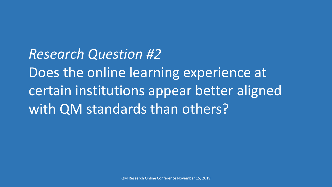*Research Question #2* Does the online learning experience at certain institutions appear better aligned with QM standards than others?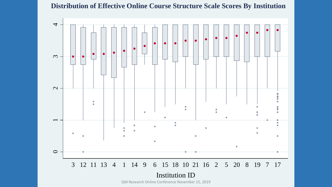#### **Distribution of Effective Online Course Structure Scale Scores By Institution**

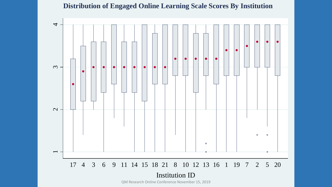#### **Distribution of Engaged Online Learning Scale Scores By Institution**

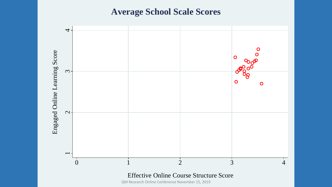#### **Average School Scale Scores**



QM Research Online Conference November 15, 2019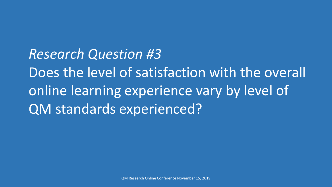*Research Question #3* Does the level of satisfaction with the overall online learning experience vary by level of QM standards experienced?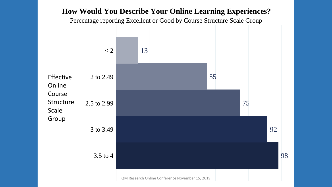#### **How Would You Describe Your Online Learning Experiences?**

Percentage reporting Excellent or Good by Course Structure Scale Group

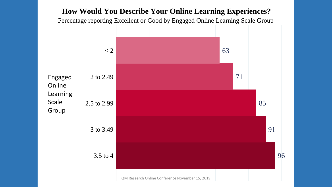#### **How Would You Describe Your Online Learning Experiences?**

Percentage reporting Excellent or Good by Engaged Online Learning Scale Group

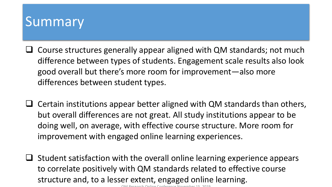### Summary

- $\Box$  Course structures generally appear aligned with QM standards; not much difference between types of students. Engagement scale results also look good overall but there's more room for improvement—also more differences between student types.
- $\Box$  Certain institutions appear better aligned with QM standards than others, but overall differences are not great. All study institutions appear to be doing well, on average, with effective course structure. More room for improvement with engaged online learning experiences.
- $\Box$  Student satisfaction with the overall online learning experience appears to correlate positively with QM standards related to effective course structure and, to a lesser extent, engaged online learning.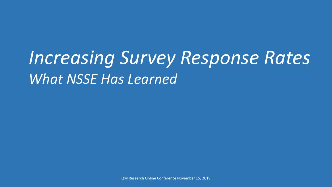# *Increasing Survey Response Rates What NSSE Has Learned*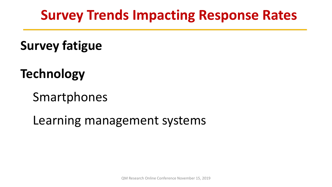## **Survey Trends Impacting Response Rates**

**Survey fatigue** 

**Technology** 

Smartphones

Learning management systems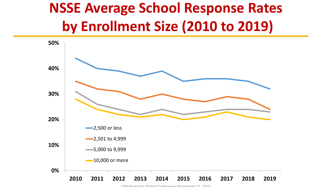# **NSSE Average School Response Rates by Enrollment Size (2010 to 2019)**



QM Research Online Conference November 15 2019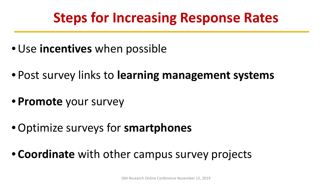# **Steps for Increasing Response Rates**

- •Use **incentives** when possible
- Post survey links to **learning management systems**
- **Promote** your survey
- •Optimize surveys for **smartphones**
- **Coordinate** with other campus survey projects